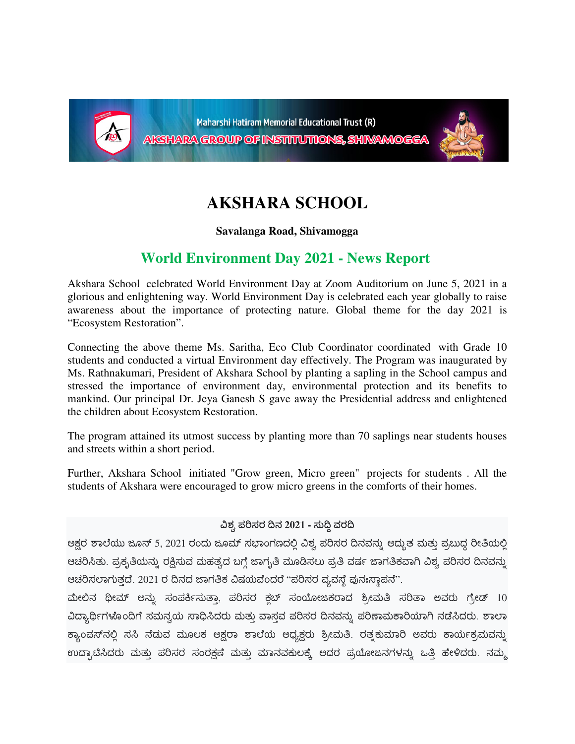

Maharshi Hatiram Memorial Educational Trust (R) AKSHARA GROUP OF INSTITUTIONS, SHIVAMOGGA



## **AKSHARA SCHOOL**

**Savalanga Road, Shivamogga**

## **World Environment Day 2021 - News Report**

Akshara School celebrated World Environment Day at Zoom Auditorium on June 5, 2021 in a glorious and enlightening way. World Environment Day is celebrated each year globally to raise awareness about the importance of protecting nature. Global theme for the day 2021 is "Ecosystem Restoration".

Connecting the above theme Ms. Saritha, Eco Club Coordinator coordinated with Grade 10 students and conducted a virtual Environment day effectively. The Program was inaugurated by Ms. Rathnakumari, President of Akshara School by planting a sapling in the School campus and stressed the importance of environment day, environmental protection and its benefits to mankind. Our principal Dr. Jeya Ganesh S gave away the Presidential address and enlightened the children about Ecosystem Restoration.

The program attained its utmost success by planting more than 70 saplings near students houses and streets within a short period.

Further, Akshara School initiated "Grow green, Micro green" projects for students . All the students of Akshara were encouraged to grow micro greens in the comforts of their homes.

## $\Delta$ ಶ್ರ ಪರಿಸರ ದಿನ 2021 - ಸುದ್ದಿ ವರದಿ

ಅಕ್ಷರ ಶಾಲೆಯು ಜೂನ್ 5, 2021 ರಂದು ಜೂಮ್ ಸಭಾಂಗಣದಲ್ಲಿ ವಿಶ್ವ ಪರಿಸರ ದಿನವನ್ನು ಅದ್ಭುತ ಮತ್ತು ಪ್ರಬುದ್ಧ ರೀತಿಯಲ್ಲಿ ಆಚರಿಸಿತು. ಪ್ರಕೃತಿಯನ್ನು ರಕ್ಷಿಸುವ ಮಹತ್ವದ ಬಗ್ಗೆ ಜಾಗೃತಿ ಮೂಡಿಸಲು ಪ್ರತಿ ವರ್ಷ ಜಾಗತಿಕವಾಗಿ ವಿಶ್ವ ಪರಿಸರ ದಿನವನ್ನು ಆಚರಿಸಲಾಗುತ್ತದೆ. 2021 ರ ದಿನದ ಜಾಗತಿಕ ವಿಷಯವೆಂದರೆ "ಪರಿಸರ ವ್ಯವಸ್ಥೆ ಪುನಃಸ್ಥಾಪನೆ".

ಮೇಲಿನ ಥೀಮ್ ಅನ್ನು ಸಂಪರ್ಕಿಸುತ್ತಾ, ಪರಿಸರ ಕ್ಲಬ್ ಸಂಯೋಜಕರಾದ ಶ್ರೀಮತಿ ಸರಿತಾ ಅವರು ಗ್ರೇಡ್ 10 ವಿದ್ಯಾರ್ಥಿಗಳೊಂದಿಗೆ ಸಮನ್ವಯ ಸಾಧಿಸಿದರು ಮತ್ತು ವಾಸ್ತವ ಪರಿಸರ ದಿನವನ್ನು ಪರಿಣಾಮಕಾರಿಯಾಗಿ ನಡೆಸಿದರು. ಶಾಲಾ ಕ್ಯಾಂಪಸ್ನಲ್ಲಿ ಸಸಿ ನೆಡುವ ಮೂಲಕ ಅಕ್ಷರಾ ಶಾಲೆಯ ಅಧ್ಯಕ್ಷರು ಶ್ರೀಮತಿ. ರತ್ನಕುಮಾರಿ ಅವರು ಕಾರ್ಯಕ್ರಮವನ್ನು ಉದ್ಘಾಟಿಸಿದರು ಮತ್ತು ಪರಿಸರ ಸಂರಕ್ಷಣೆ ಮತ್ತು ಮಾನವಕುಲಕ್ಕೆ ಅದರ ಪ್ರಯೋಜನಗಳನ್ನು ಒತ್ತಿ ಹೇಳಿದರು. ನಮ್ಮ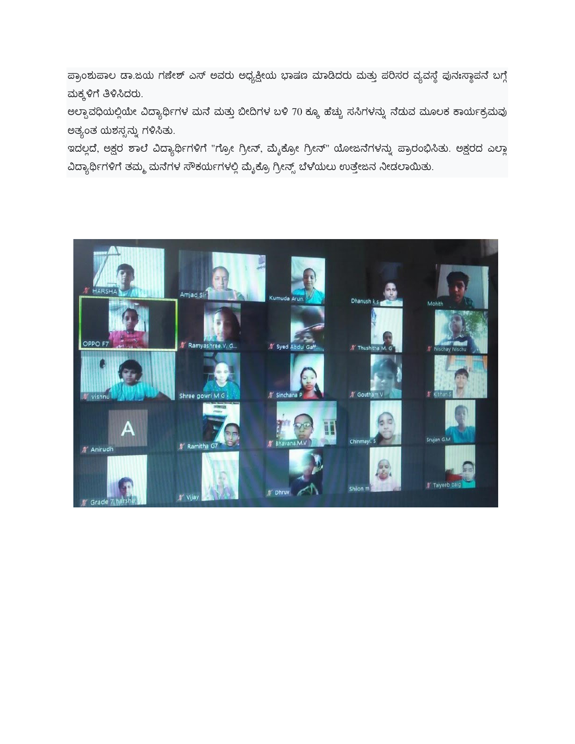ಪ್ರಾಂಶುಪಾಲ ಡಾ.ಜಯ ಗಣೇಶ್ ಎಸ್ ಅವರು ಅಧ್ಯಕ್ಷೀಯ ಭಾಷಣ ಮಾಡಿದರು ಮತ್ತು ಪರಿಸರ ವ್ಯವಸ್ಥೆ ಪುನಃಸ್ಥಾಪನೆ ಬಗ್ಗೆ ಮಕ್ಕಳಿಗೆ ತಿಳಿಸಿದರು.

ಅಲ್ಪಾವಧಿಯಲ್ಲಿಯೇ ವಿದ್ಯಾರ್ಥಿಗಳ ಮನೆ ಮತ್ತು ಬೀದಿಗಳ ಬಳಿ 70 ಕ್ಕೂ ಹೆಚ್ಚು ಸಸಿಗಳನ್ನು ನೆಡುವ ಮೂಲಕ ಕಾರ್ಯಕ್ರಮವು ಅತ್ಯಂತ ಯಶಸ್ಸನ್ನು ಗಳಿಸಿತು.

ಇದಲ್ಲದೆ, ಅಕ್ಷರ ಶಾಲೆ ವಿದ್ಯಾರ್ಥಿಗಳಿಗೆ "ಗ್ರೋ ಗ್ರೀನ್, ಮೈಕ್ರೋ ಗ್ರೀನ್" ಯೋಜನೆಗಳನ್ನು ಪ್ರಾರಂಭಿಸಿತು. ಅಕ್ಷರದ ಎಲ್ಲಾ ವಿದ್ಯಾರ್ಥಿಗಳಿಗೆ ತಮ್ಮ ಮನೆಗಳ ಸೌಕರ್ಯಗಳಲ್ಲಿ ಮೈಕ್ರೊ ಗ್ರೀನ್ಸ್ ಬೆಳೆಯಲು ಉತ್ತೇಜನ ನೀಡಲಾಯಿತು.